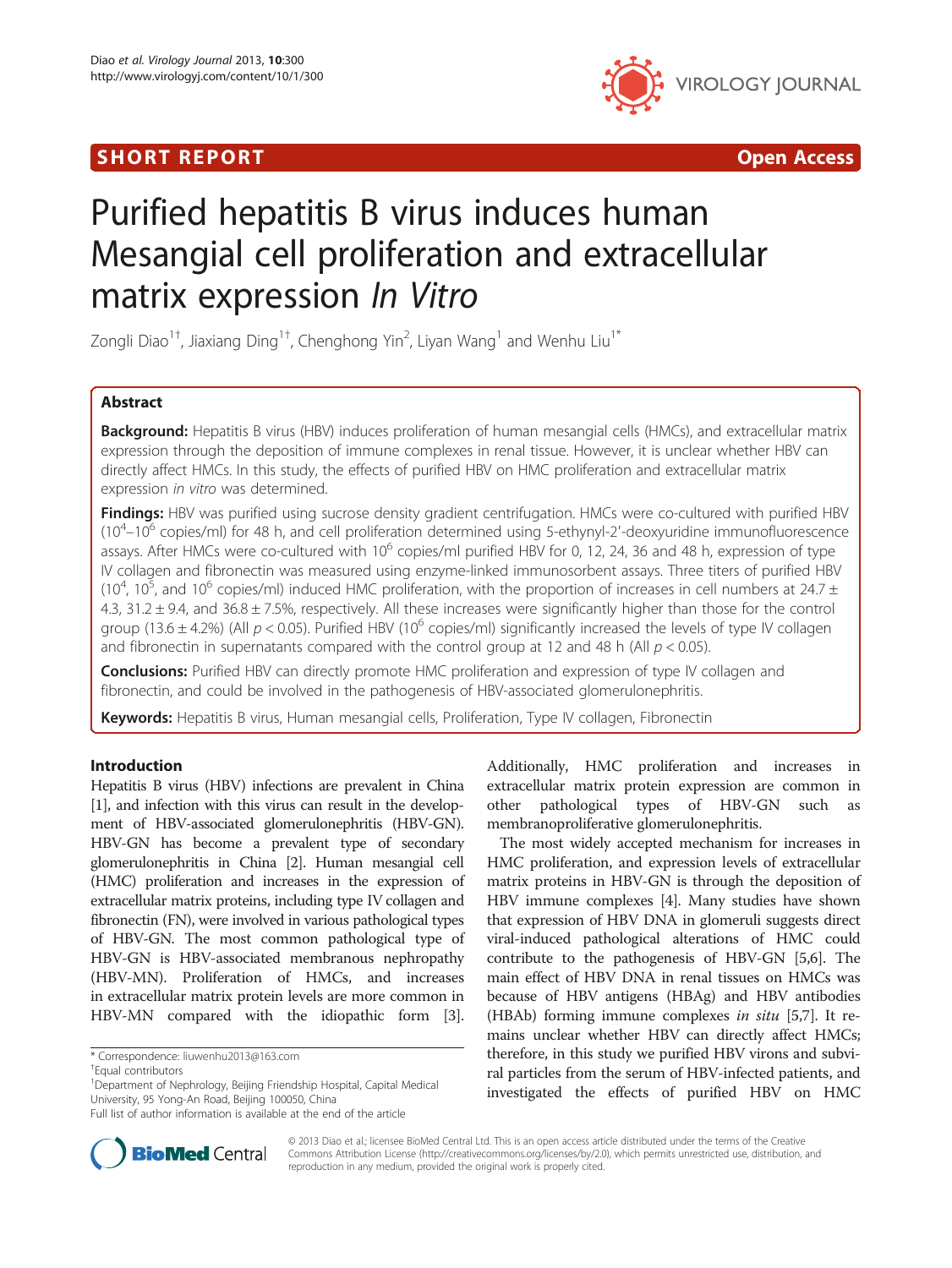## **SHORT REPORT CONSUMING THE SHORT CONSUMING THE CONSUMING THE CONSUMING THE CONSUMING THE CONSUMING THE CONSUMING T**



# Purified hepatitis B virus induces human Mesangial cell proliferation and extracellular matrix expression In Vitro

Zongli Diao $^{1\dagger}$ , Jiaxiang Ding $^{1\dagger}$ , Chenghong Yin $^2$ , Liyan Wang $^1$  and Wenhu Liu $^{1*}$ 

## Abstract

Background: Hepatitis B virus (HBV) induces proliferation of human mesangial cells (HMCs), and extracellular matrix expression through the deposition of immune complexes in renal tissue. However, it is unclear whether HBV can directly affect HMCs. In this study, the effects of purified HBV on HMC proliferation and extracellular matrix expression in vitro was determined.

Findings: HBV was purified using sucrose density gradient centrifugation. HMCs were co-cultured with purified HBV (10<sup>4</sup>-10<sup>6</sup> copies/ml) for 48 h, and cell proliferation determined using 5-ethynyl-2'-deoxyuridine immunofluorescence assays. After HMCs were co-cultured with  $10^6$  copies/ml purified HBV for 0, 12, 24, 36 and 48 h, expression of type IV collagen and fibronectin was measured using enzyme-linked immunosorbent assays. Three titers of purified HBV (10<sup>4</sup>, 10<sup>5</sup>, and 10<sup>6</sup> copies/ml) induced HMC proliferation, with the proportion of increases in cell numbers at 24.7 ± 4.3, 31.2 ± 9.4, and 36.8 ± 7.5%, respectively. All these increases were significantly higher than those for the control group (13.6  $\pm$  4.2%) (All  $p < 0.05$ ). Purified HBV (10<sup>6</sup> copies/ml) significantly increased the levels of type IV collagen and fibronectin in supernatants compared with the control group at 12 and 48 h (All  $p < 0.05$ ).

**Conclusions:** Purified HBV can directly promote HMC proliferation and expression of type IV collagen and fibronectin, and could be involved in the pathogenesis of HBV-associated glomerulonephritis.

Keywords: Hepatitis B virus, Human mesangial cells, Proliferation, Type IV collagen, Fibronectin

## Introduction

Hepatitis B virus (HBV) infections are prevalent in China [[1](#page-3-0)], and infection with this virus can result in the development of HBV-associated glomerulonephritis (HBV-GN). HBV-GN has become a prevalent type of secondary glomerulonephritis in China [\[2\]](#page-3-0). Human mesangial cell (HMC) proliferation and increases in the expression of extracellular matrix proteins, including type IV collagen and fibronectin (FN), were involved in various pathological types of HBV-GN. The most common pathological type of HBV-GN is HBV-associated membranous nephropathy (HBV-MN). Proliferation of HMCs, and increases in extracellular matrix protein levels are more common in HBV-MN compared with the idiopathic form [[3](#page-3-0)].

\* Correspondence: [liuwenhu2013@163.com](mailto:liuwenhu2013@163.com) †

<sup>1</sup>Department of Nephrology, Beijing Friendship Hospital, Capital Medical University, 95 Yong-An Road, Beijing 100050, China

Additionally, HMC proliferation and increases in extracellular matrix protein expression are common in other pathological types of HBV-GN such as membranoproliferative glomerulonephritis.

The most widely accepted mechanism for increases in HMC proliferation, and expression levels of extracellular matrix proteins in HBV-GN is through the deposition of HBV immune complexes [\[4](#page-3-0)]. Many studies have shown that expression of HBV DNA in glomeruli suggests direct viral-induced pathological alterations of HMC could contribute to the pathogenesis of HBV-GN [\[5,6\]](#page-3-0). The main effect of HBV DNA in renal tissues on HMCs was because of HBV antigens (HBAg) and HBV antibodies (HBAb) forming immune complexes in situ [\[5,7\]](#page-3-0). It remains unclear whether HBV can directly affect HMCs; therefore, in this study we purified HBV virons and subviral particles from the serum of HBV-infected patients, and investigated the effects of purified HBV on HMC



© 2013 Diao et al.; licensee BioMed Central Ltd. This is an open access article distributed under the terms of the Creative Commons Attribution License [\(http://creativecommons.org/licenses/by/2.0\)](http://creativecommons.org/licenses/by/2.0), which permits unrestricted use, distribution, and reproduction in any medium, provided the original work is properly cited.

Equal contributors

Full list of author information is available at the end of the article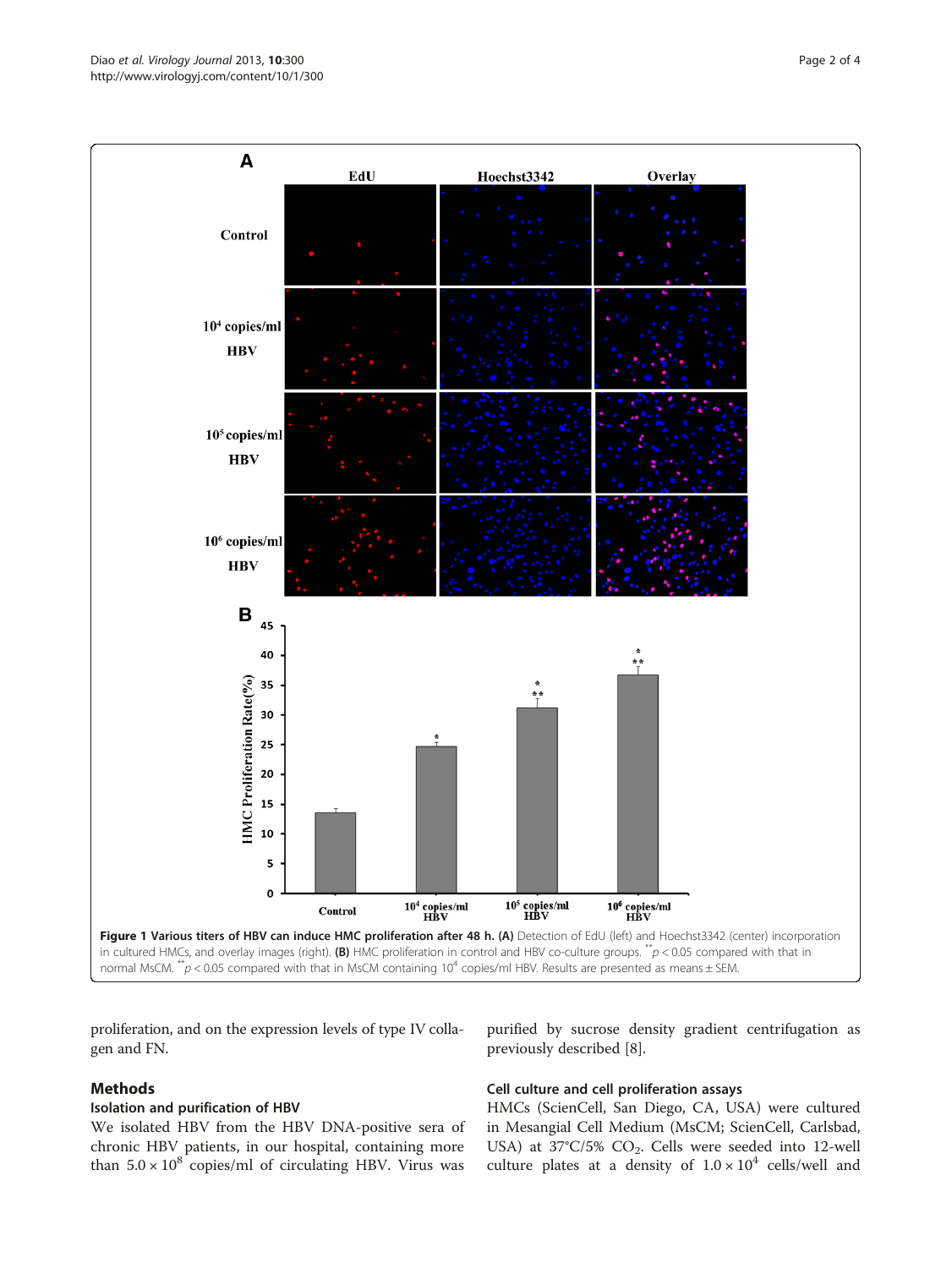<span id="page-1-0"></span>

proliferation, and on the expression levels of type IV collagen and FN.

## Methods

## Isolation and purification of HBV

We isolated HBV from the HBV DNA-positive sera of chronic HBV patients, in our hospital, containing more than  $5.0 \times 10^8$  copies/ml of circulating HBV. Virus was

purified by sucrose density gradient centrifugation as previously described [\[8](#page-3-0)].

## Cell culture and cell proliferation assays

HMCs (ScienCell, San Diego, CA, USA) were cultured in Mesangial Cell Medium (MsCM; ScienCell, Carlsbad, USA) at 37°C/5% CO<sub>2</sub>. Cells were seeded into 12-well culture plates at a density of  $1.0 \times 10^4$  cells/well and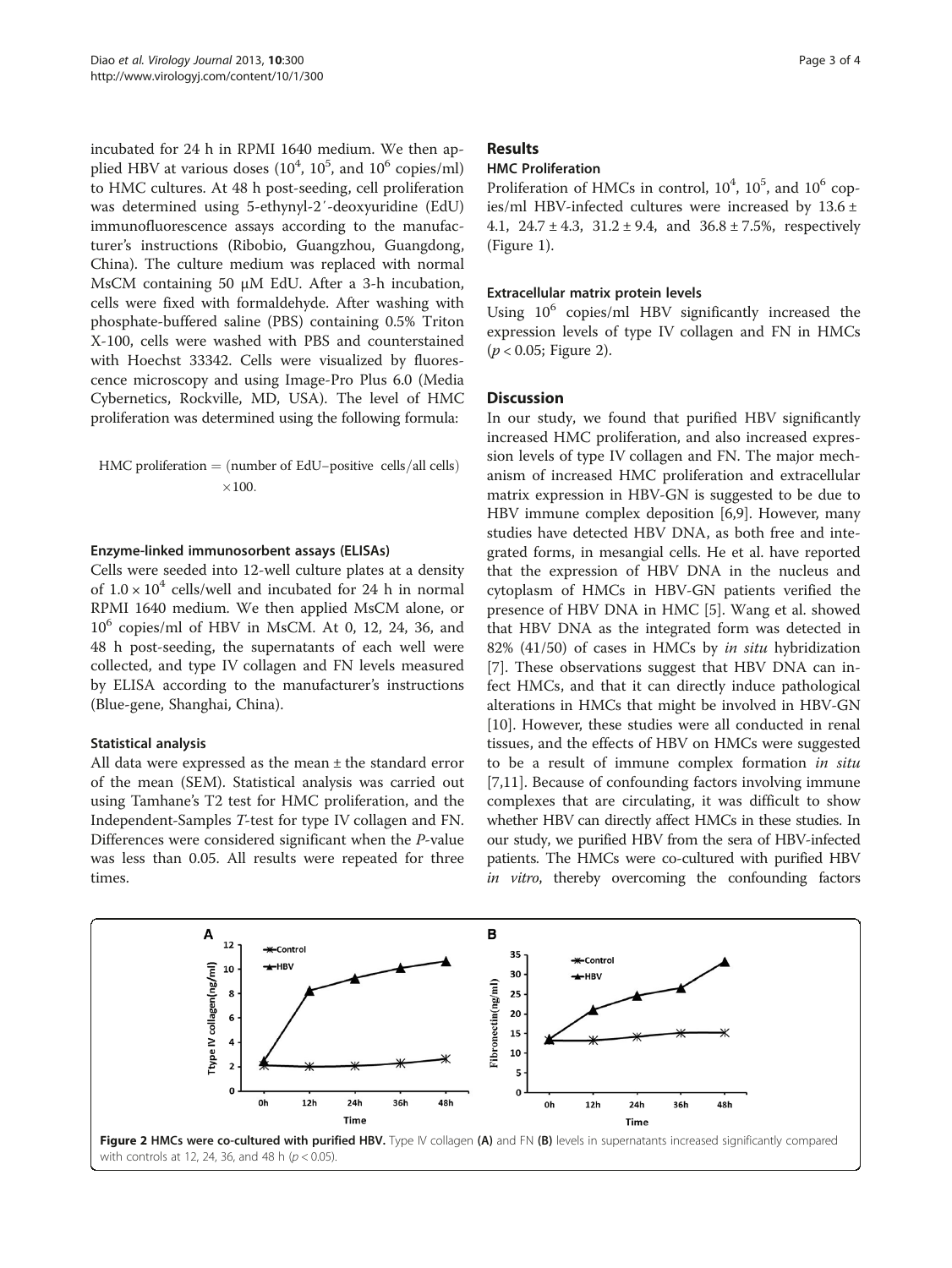incubated for 24 h in RPMI 1640 medium. We then applied HBV at various doses  $(10^4, 10^5,$  and  $10^6$  copies/ml) to HMC cultures. At 48 h post-seeding, cell proliferation was determined using 5-ethynyl-2′-deoxyuridine (EdU) immunofluorescence assays according to the manufacturer's instructions (Ribobio, Guangzhou, Guangdong, China). The culture medium was replaced with normal MsCM containing 50 μM EdU. After a 3-h incubation, cells were fixed with formaldehyde. After washing with phosphate-buffered saline (PBS) containing 0.5% Triton X-100, cells were washed with PBS and counterstained with Hoechst 33342. Cells were visualized by fluorescence microscopy and using Image-Pro Plus 6.0 (Media Cybernetics, Rockville, MD, USA). The level of HMC proliferation was determined using the following formula:

HMC proliferation  $=$  (number of EdU–positive cells/all cells)  $\times 100.$ 

### Enzyme-linked immunosorbent assays (ELISAs)

Cells were seeded into 12-well culture plates at a density of  $1.0 \times 10^4$  cells/well and incubated for 24 h in normal RPMI 1640 medium. We then applied MsCM alone, or  $10^6$  copies/ml of HBV in MsCM. At 0, 12, 24, 36, and 48 h post-seeding, the supernatants of each well were collected, and type IV collagen and FN levels measured by ELISA according to the manufacturer's instructions (Blue-gene, Shanghai, China).

### Statistical analysis

All data were expressed as the mean ± the standard error of the mean (SEM). Statistical analysis was carried out using Tamhane's T2 test for HMC proliferation, and the Independent-Samples T-test for type IV collagen and FN. Differences were considered significant when the P-value was less than 0.05. All results were repeated for three times.

#### Results

## HMC Proliferation

Proliferation of HMCs in control,  $10^4$ ,  $10^5$ , and  $10^6$  copies/ml HBV-infected cultures were increased by 13.6 ± 4.1,  $24.7 \pm 4.3$ ,  $31.2 \pm 9.4$ , and  $36.8 \pm 7.5$ %, respectively (Figure [1\)](#page-1-0).

## Extracellular matrix protein levels

Using 10<sup>6</sup> copies/ml HBV significantly increased the expression levels of type IV collagen and FN in HMCs  $(p < 0.05;$  Figure 2).

### **Discussion**

In our study, we found that purified HBV significantly increased HMC proliferation, and also increased expression levels of type IV collagen and FN. The major mechanism of increased HMC proliferation and extracellular matrix expression in HBV-GN is suggested to be due to HBV immune complex deposition [[6,9\]](#page-3-0). However, many studies have detected HBV DNA, as both free and integrated forms, in mesangial cells. He et al. have reported that the expression of HBV DNA in the nucleus and cytoplasm of HMCs in HBV-GN patients verified the presence of HBV DNA in HMC [[5\]](#page-3-0). Wang et al. showed that HBV DNA as the integrated form was detected in 82% (41/50) of cases in HMCs by in situ hybridization [[7\]](#page-3-0). These observations suggest that HBV DNA can infect HMCs, and that it can directly induce pathological alterations in HMCs that might be involved in HBV-GN [[10\]](#page-3-0). However, these studies were all conducted in renal tissues, and the effects of HBV on HMCs were suggested to be a result of immune complex formation in situ [[7,11\]](#page-3-0). Because of confounding factors involving immune complexes that are circulating, it was difficult to show whether HBV can directly affect HMCs in these studies. In our study, we purified HBV from the sera of HBV-infected patients. The HMCs were co-cultured with purified HBV in vitro, thereby overcoming the confounding factors